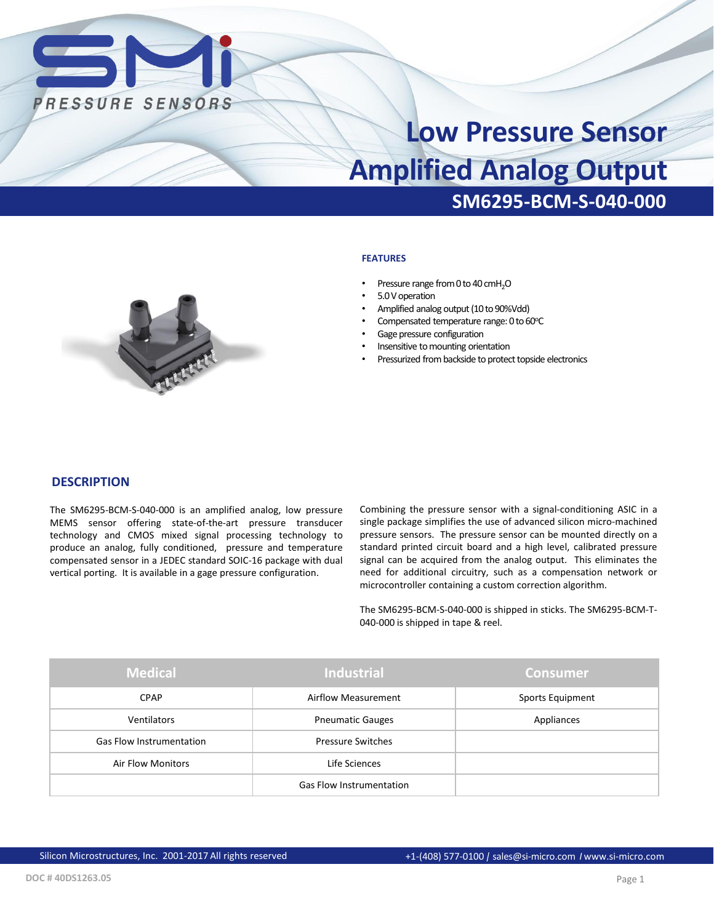

# **SM6295-BCM-S-040-000 Low Pressure Sensor Amplified Analog Output**

#### **FEATURES**

- Pressure range from 0 to 40 cmH<sub>2</sub>O
- 5.0 V operation
- Amplified analog output (10 to 90%Vdd)
- Compensated temperature range: 0 to 60°C
- Gage pressure configuration
- Insensitive to mounting orientation
- Pressurized from backside to protect topside electronics



#### **DESCRIPTION**

The SM6295-BCM-S-040-000 is an amplified analog, low pressure MEMS sensor offering state-of-the-art pressure transducer technology and CMOS mixed signal processing technology to produce an analog, fully conditioned, pressure and temperature compensated sensor in a JEDEC standard SOIC-16 package with dual vertical porting. It is available in a gage pressure configuration.

Combining the pressure sensor with a signal-conditioning ASIC in a single package simplifies the use of advanced silicon micro-machined pressure sensors. The pressure sensor can be mounted directly on a standard printed circuit board and a high level, calibrated pressure signal can be acquired from the analog output. This eliminates the need for additional circuitry, such as a compensation network or microcontroller containing a custom correction algorithm.

The SM6295-BCM-S-040-000 is shipped in sticks. The SM6295-BCM-T-040-000 is shipped in tape & reel.

| <b>Medical</b>                  | <b>Industrial</b>               | <b>Consumer</b>  |
|---------------------------------|---------------------------------|------------------|
| <b>CPAP</b>                     | Airflow Measurement             | Sports Equipment |
| <b>Ventilators</b>              | <b>Pneumatic Gauges</b>         | Appliances       |
| <b>Gas Flow Instrumentation</b> | <b>Pressure Switches</b>        |                  |
| <b>Air Flow Monitors</b>        | Life Sciences                   |                  |
|                                 | <b>Gas Flow Instrumentation</b> |                  |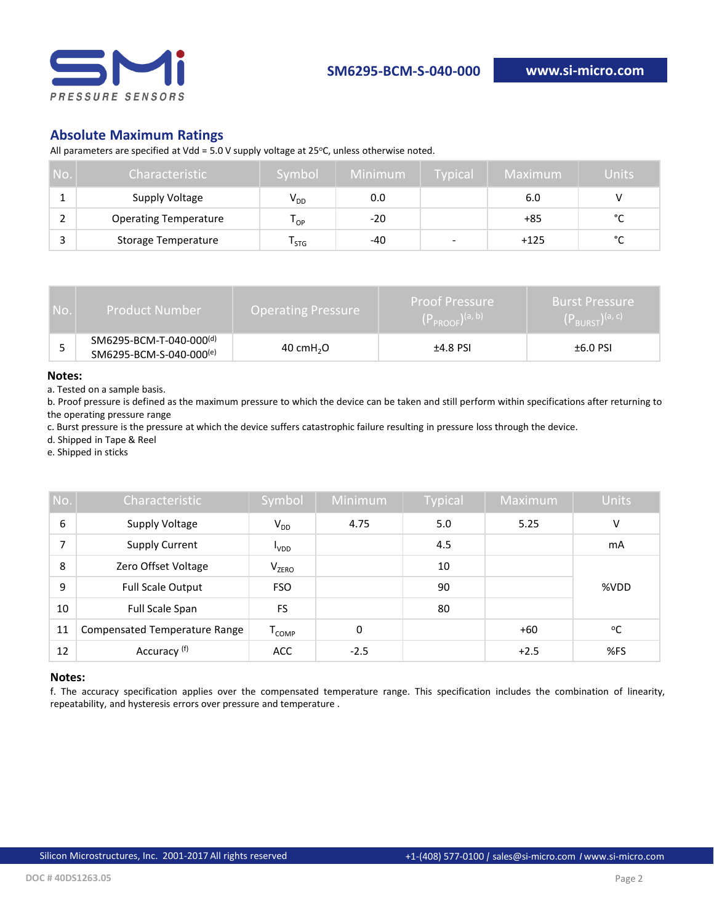

## **Absolute Maximum Ratings**

All parameters are specified at Vdd = 5.0 V supply voltage at 25 $^{\circ}$ C, unless otherwise noted.

| No. | Characteristic               | Symbol                      | Minimum | <b>Typical</b> | Maximum | Units  |
|-----|------------------------------|-----------------------------|---------|----------------|---------|--------|
|     | Supply Voltage               | $V_{DD}$                    | 0.0     |                | 6.0     |        |
|     | <b>Operating Temperature</b> | י ט                         | $-20$   |                | +85     | $\sim$ |
|     | <b>Storage Temperature</b>   | $\mathsf{I}_{\mathsf{STG}}$ | -40     | ۰              | $+125$  | $\sim$ |

| No. | <b>Product Number</b>                                          | <b>Operating Pressure</b> |            | <b>Burst Pressure</b><br>$(P_{\text{RURST}})^{(a, c)}$ |  |
|-----|----------------------------------------------------------------|---------------------------|------------|--------------------------------------------------------|--|
|     | SM6295-BCM-T-040-000 <sup>(d)</sup><br>SM6295-BCM-S-040-000(e) | 40 cm $H2O$               | $±4.8$ PSI | $±6.0$ PSI                                             |  |

#### **Notes:**

a. Tested on a sample basis.

b. Proof pressure is defined as the maximum pressure to which the device can be taken and still perform within specifications after returning to the operating pressure range

c. Burst pressure is the pressure at which the device suffers catastrophic failure resulting in pressure loss through the device.

d. Shipped in Tape & Reel

e. Shipped in sticks

| No. | Characteristic                       | Symbol               | Minimum | <b>Typical</b> | Maximum | <b>Units</b> |
|-----|--------------------------------------|----------------------|---------|----------------|---------|--------------|
| 6   | Supply Voltage                       | $V_{DD}$             | 4.75    | 5.0            | 5.25    | v            |
| 7   | <b>Supply Current</b>                | <b>VDD</b>           |         | 4.5            |         | mA           |
| 8   | Zero Offset Voltage                  | V <sub>ZERO</sub>    |         | 10             |         |              |
| 9   | <b>Full Scale Output</b>             | <b>FSO</b>           |         | 90             |         | %VDD         |
| 10  | Full Scale Span                      | FS                   |         | 80             |         |              |
| 11  | <b>Compensated Temperature Range</b> | ${\tt T}_{\tt COMP}$ | 0       |                | $+60$   | °C           |
| 12  | Accuracy (f)                         | <b>ACC</b>           | $-2.5$  |                | $+2.5$  | %FS          |

#### **Notes:**

f. The accuracy specification applies over the compensated temperature range. This specification includes the combination of linearity, repeatability, and hysteresis errors over pressure and temperature .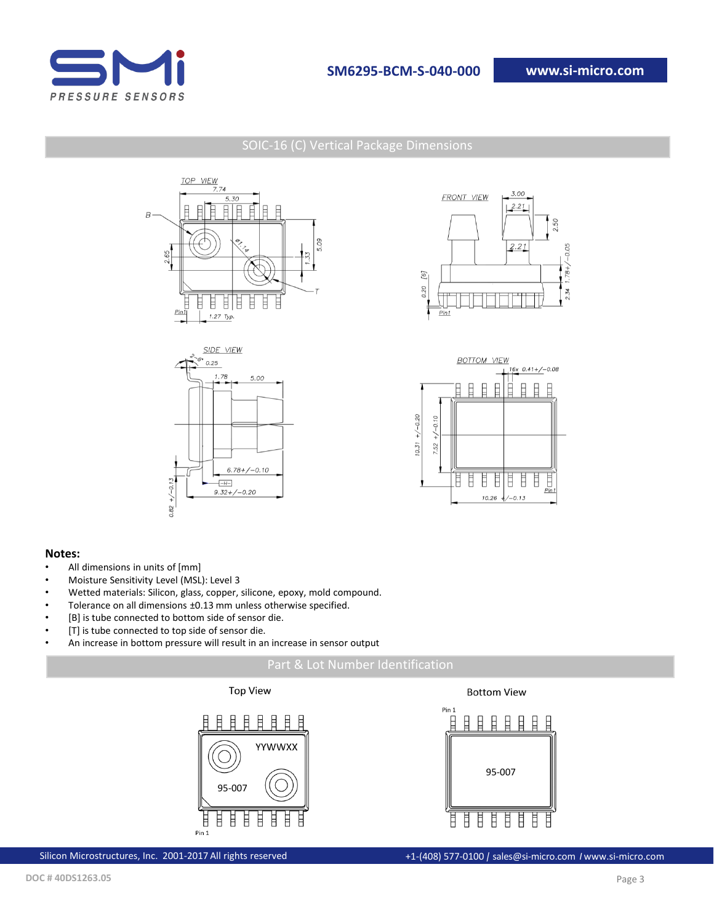

## SOIC-16 (C) Vertical Package Dimensions









#### **Notes:**

- All dimensions in units of [mm]
- Moisture Sensitivity Level (MSL): Level 3
- Wetted materials: Silicon, glass, copper, silicone, epoxy, mold compound.
- Tolerance on all dimensions ±0.13 mm unless otherwise specified.
- [B] is tube connected to bottom side of sensor die.
- [T] is tube connected to top side of sensor die.
- An increase in bottom pressure will result in an increase in sensor output







**Bottom View** 

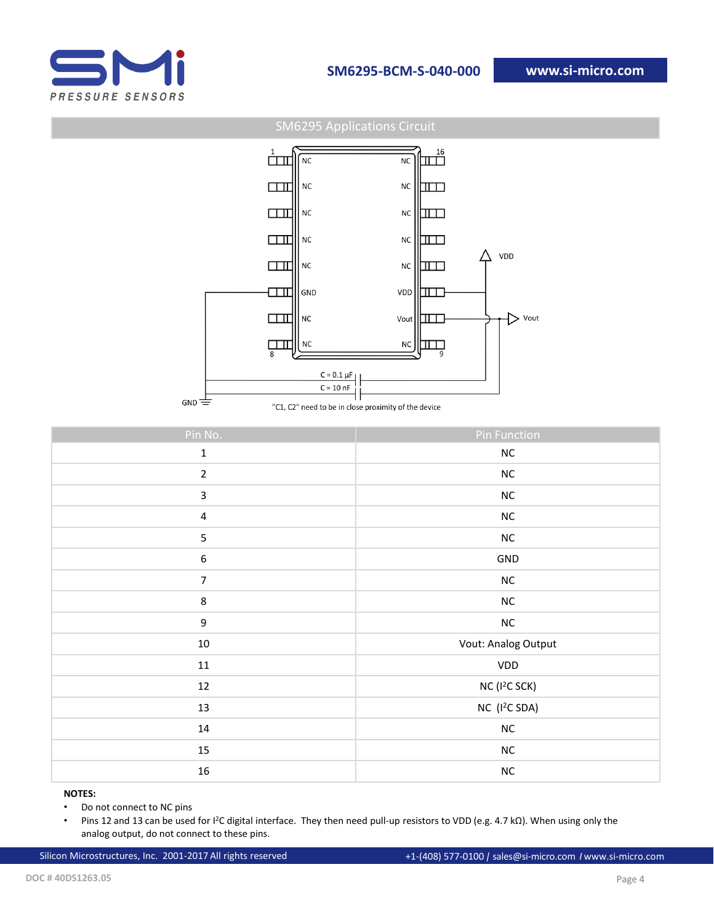

SM6295 Applications Circuit



"C1, C2" need to be in close proximity of the device

| Pin No.          | <b>Pin Function</b>       |
|------------------|---------------------------|
| $\mathbf 1$      | ${\sf NC}$                |
| $\overline{2}$   | ${\sf NC}$                |
| $\mathbf{3}$     | ${\sf NC}$                |
| $\sqrt{4}$       | ${\sf NC}$                |
| $\overline{5}$   | ${\sf NC}$                |
| $\boldsymbol{6}$ | GND                       |
| $\overline{7}$   | ${\sf NC}$                |
| $\,8\,$          | ${\sf NC}$                |
| $\boldsymbol{9}$ | ${\sf NC}$                |
| $10\,$           | Vout: Analog Output       |
| $11\,$           | VDD                       |
| $12\,$           | NC (I <sup>2</sup> C SCK) |
| 13               | NC (I <sup>2</sup> C SDA) |
| $14\,$           | ${\sf NC}$                |
| 15               | ${\sf NC}$                |
| $16\,$           | ${\sf NC}$                |

#### **NOTES:**

• Do not connect to NC pins

• Pins 12 and 13 can be used for I<sup>2</sup>C digital interface. They then need pull-up resistors to VDD (e.g. 4.7 kΩ). When using only the analog output, do not connect to these pins.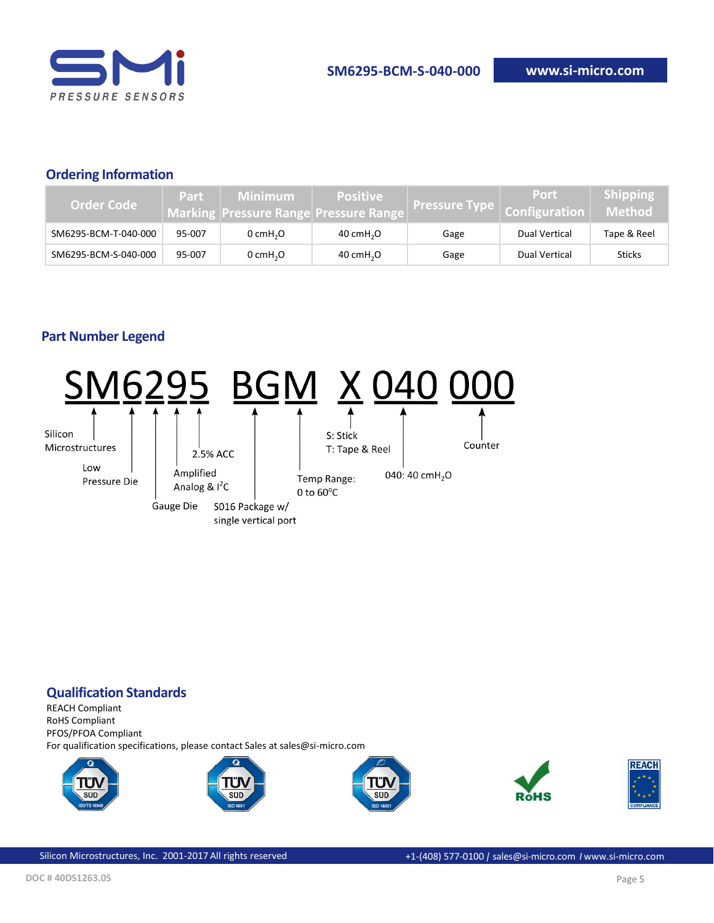

## **Ordering Information**

| Order Code           | Part   | <b>Minimum</b>         | <b>Positive</b><br><b>Marking Pressure Range Pressure Range</b> | Pressure Type   Configuration | Port          | <b>Shipping</b><br>Method |
|----------------------|--------|------------------------|-----------------------------------------------------------------|-------------------------------|---------------|---------------------------|
| SM6295-BCM-T-040-000 | 95-007 | $0$ cmH <sub>2</sub> O | 40 cm $H2O$                                                     | Gage                          | Dual Vertical | Tape & Reel               |
| SM6295-BCM-S-040-000 | 95-007 | $0$ cmH <sub>2</sub> O | 40 cm $H2O$                                                     | Gage                          | Dual Vertical | <b>Sticks</b>             |

# **Part Number Legend**



# **Qualification Standards**

REACH Compliant RoHS Compliant PFOS/PFOA Compliant For qualification specifications, please contact Sales at sales@si-micro.com